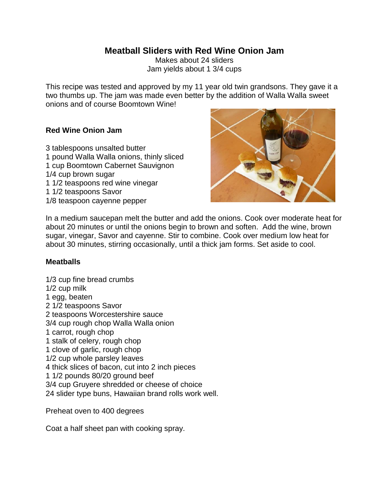## **Meatball Sliders with Red Wine Onion Jam**

Makes about 24 sliders Jam yields about 1 3/4 cups

This recipe was tested and approved by my 11 year old twin grandsons. They gave it a two thumbs up. The jam was made even better by the addition of Walla Walla sweet onions and of course Boomtown Wine!

## **Red Wine Onion Jam**

- 3 tablespoons unsalted butter
- 1 pound Walla Walla onions, thinly sliced
- 1 cup Boomtown Cabernet Sauvignon
- 1/4 cup brown sugar
- 1 1/2 teaspoons red wine vinegar
- 1 1/2 teaspoons Savor
- 1/8 teaspoon cayenne pepper



In a medium saucepan melt the butter and add the onions. Cook over moderate heat for about 20 minutes or until the onions begin to brown and soften. Add the wine, brown sugar, vinegar, Savor and cayenne. Stir to combine. Cook over medium low heat for about 30 minutes, stirring occasionally, until a thick jam forms. Set aside to cool.

## **Meatballs**

1/3 cup fine bread crumbs 1/2 cup milk 1 egg, beaten 2 1/2 teaspoons Savor 2 teaspoons Worcestershire sauce 3/4 cup rough chop Walla Walla onion 1 carrot, rough chop 1 stalk of celery, rough chop 1 clove of garlic, rough chop 1/2 cup whole parsley leaves 4 thick slices of bacon, cut into 2 inch pieces 1 1/2 pounds 80/20 ground beef 3/4 cup Gruyere shredded or cheese of choice 24 slider type buns, Hawaiian brand rolls work well.

Preheat oven to 400 degrees

Coat a half sheet pan with cooking spray.